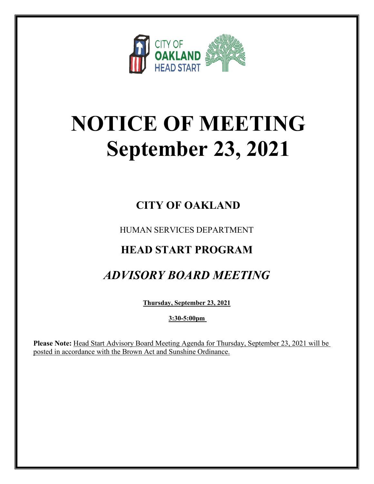

# **NOTICE OF MEETING September 23, 2021**

### **CITY OF OAKLAND**

HUMAN SERVICES DEPARTMENT

### **HEAD START PROGRAM**

## *ADVISORY BOARD MEETING*

**Thursday, September 23, 2021**

**3:30-5:00pm** 

**Please Note:** Head Start Advisory Board Meeting Agenda for Thursday, September 23, 2021 will be posted in accordance with the Brown Act and Sunshine Ordinance.